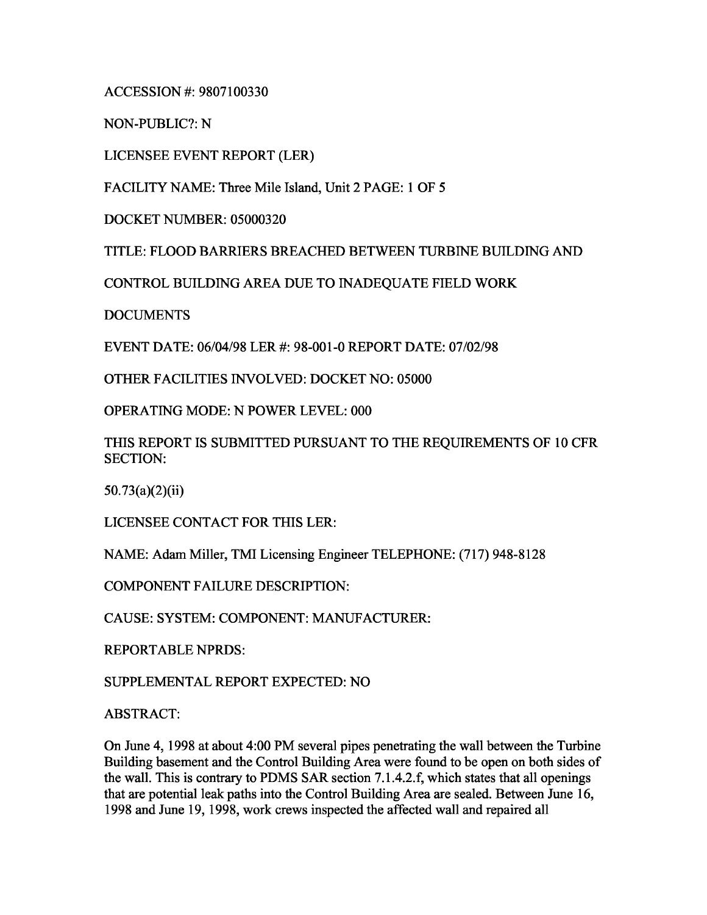ACCESSION #: 9807100330

NON-PUBLIC?: N

LICENSEE EVENT REPORT (LER)

FACILITY NAME: Three Mile Island, Unit 2 PAGE: 1 OF 5

DOCKET NUMBER: 05000320

TITLE: FLOOD BARRIERS BREACHED BETWEEN TURBINE BUILDING AND

CONTROL BUILDING AREA DUE TO INADEQUATE FIELD WORK

DOCUMENTS

EVENT DATE: 06/04/98 LER #: 98-001-0 REPORT DATE: 07/02/98

OTHER FACILITIES INVOLVED: DOCKET NO: 05000

OPERATING MODE: N POWER LEVEL: 000

THIS REPORT IS SUBMITTED PURSUANT TO THE REQUIREMENTS OF 10 CFR SECTION:

50.73(a)(2)(ii)

LICENSEE CONTACT FOR THIS LER:

NAME: Adam Miller, TMI Licensing Engineer TELEPHONE: (717) 948-8128

COMPONENT FAILURE DESCRIPTION:

CAUSE: SYSTEM: COMPONENT: MANUFACTURER:

REPORTABLE NPRDS:

SUPPLEMENTAL REPORT EXPECTED: NO

ABSTRACT:

On June 4, 1998 at about 4:00 PM several pipes penetrating the wall between the Turbine Building basement and the Control Building Area were found to be open on both sides of the wall. This is contrary to PDMS SAR section 7.1.4.2.f, which states that all openings that are potential leak paths into the Control Building Area are sealed. Between June 16, 1998 and June 19, 1998, work crews inspected the affected wall and repaired all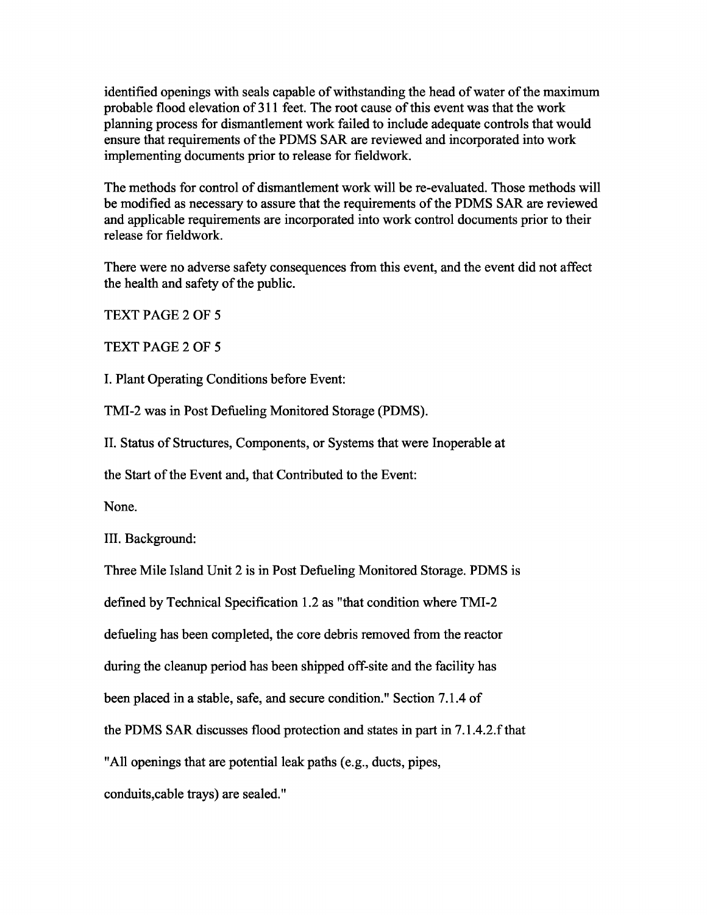identified openings with seals capable of withstanding the head of water of the maximum probable flood elevation of 311 feet. The root cause of this event was that the work planning process for dismantlement work failed to include adequate controls that would ensure that requirements of the PDMS SAR are reviewed and incorporated into work implementing documents prior to release for fieldwork.

The methods for control of dismantlement work will be re-evaluated. Those methods will be modified as necessary to assure that the requirements of the PDMS SAR are reviewed and applicable requirements are incorporated into work control documents prior to their release for fieldwork.

There were no adverse safety consequences from this event, and the event did not affect the health and safety of the public.

TEXT PAGE 2 OF 5

TEXT PAGE 2 OF 5

I. Plant Operating Conditions before Event:

TMI-2 was in Post Defueling Monitored Storage (PDMS).

II. Status of Structures, Components, or Systems that were Inoperable at

the Start of the Event and, that Contributed to the Event:

None.

III. Background:

Three Mile Island Unit 2 is in Post Defueling Monitored Storage. PDMS is

defined by Technical Specification 1.2 as "that condition where TMI-2

defueling has been completed, the core debris removed from the reactor

during the cleanup period has been shipped off-site and the facility has

been placed in a stable, safe, and secure condition." Section 7.1.4 of

the PDMS SAR discusses flood protection and states in part in 7.1.4.2.f that

"All openings that are potential leak paths (e.g., ducts, pipes,

conduits,cable trays) are sealed."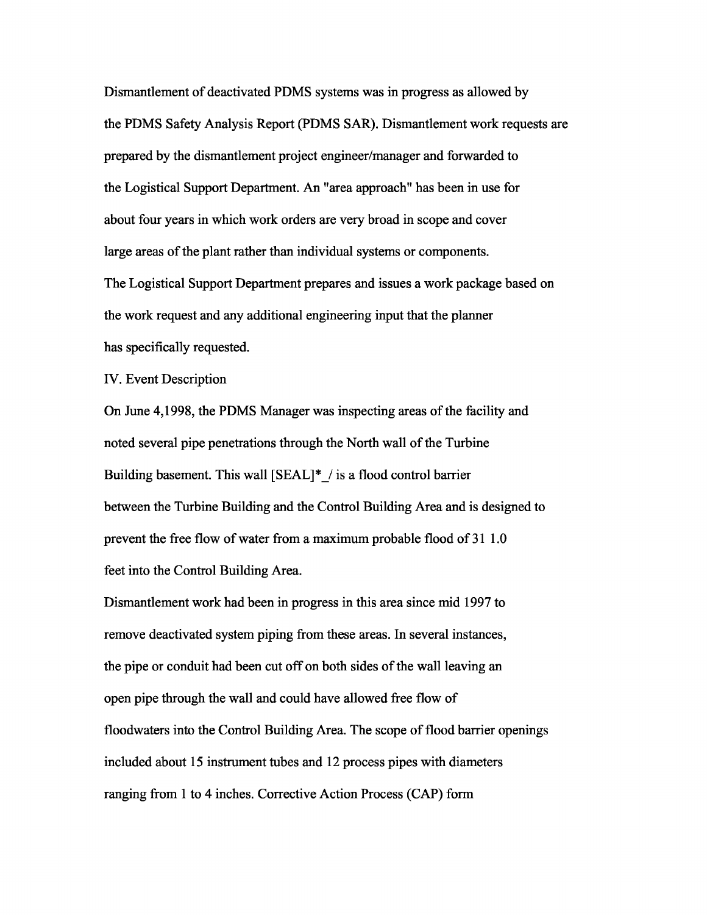Dismantlement of deactivated PDMS systems was in progress as allowed by the PDMS Safety Analysis Report (PDMS SAR). Dismantlement work requests are prepared by the dismantlement project engineer/manager and forwarded to the Logistical Support Department. An "area approach" has been in use for about four years in which work orders are very broad in scope and cover large areas of the plant rather than individual systems or components. The Logistical Support Department prepares and issues a work package based on the work request and any additional engineering input that the planner has specifically requested.

IV. Event Description

On June 4,1998, the PDMS Manager was inspecting areas of the facility and noted several pipe penetrations through the North wall of the Turbine Building basement. This wall [SEAL]\*\_/ is a flood control barrier between the Turbine Building and the Control Building Area and is designed to prevent the free flow of water from a maximum probable flood of 31 1.0 feet into the Control Building Area.

Dismantlement work had been in progress in this area since mid 1997 to remove deactivated system piping from these areas. In several instances, the pipe or conduit had been cut off on both sides of the wall leaving an open pipe through the wall and could have allowed free flow of floodwaters into the Control Building Area. The scope of flood barrier openings included about 15 instrument tubes and 12 process pipes with diameters ranging from 1 to 4 inches. Corrective Action Process (CAP) form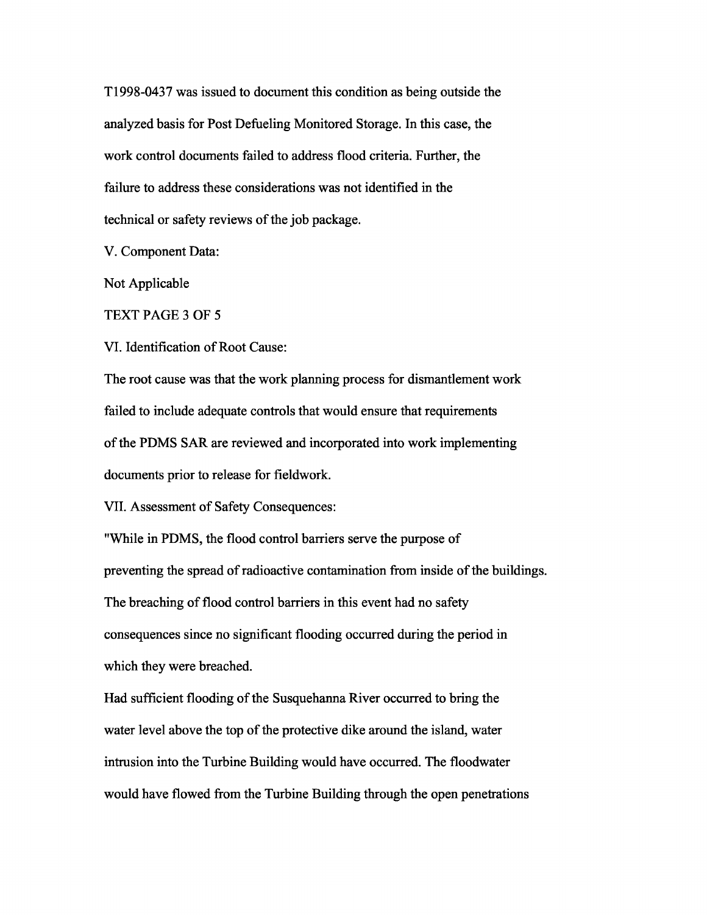T1998-0437 was issued to document this condition as being outside the analyzed basis for Post Defueling Monitored Storage. In this case, the work control documents failed to address flood criteria. Further, the failure to address these considerations was not identified in the technical or safety reviews of the job package.

V. Component Data:

Not Applicable

TEXT PAGE 3 OF 5

VI. Identification of Root Cause:

The root cause was that the work planning process for dismantlement work failed to include adequate controls that would ensure that requirements of the PDMS SAR are reviewed and incorporated into work implementing documents prior to release for fieldwork.

VII. Assessment of Safety Consequences:

"While in PDMS, the flood control barriers serve the purpose of preventing the spread of radioactive contamination from inside of the buildings. The breaching of flood control barriers in this event had no safety consequences since no significant flooding occurred during the period in which they were breached.

Had sufficient flooding of the Susquehanna River occurred to bring the water level above the top of the protective dike around the island, water intrusion into the Turbine Building would have occurred. The floodwater would have flowed from the Turbine Building through the open penetrations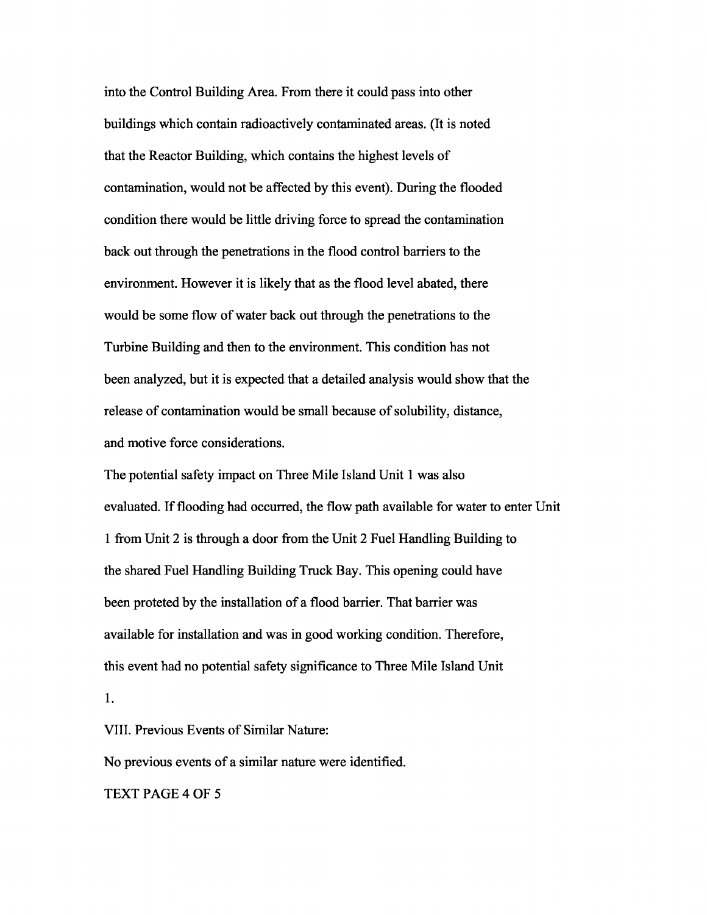into the Control Building Area. From there it could pass into other buildings which contain radioactively contaminated areas. (It is noted that the Reactor Building, which contains the highest levels of contamination, would not be affected by this event). During the flooded condition there would be little driving force to spread the contamination back out through the penetrations in the flood control barriers to the environment. However it is likely that as the flood level abated, there would be some flow of water back out through the penetrations to the Turbine Building and then to the environment. This condition has not been analyzed, but it is expected that a detailed analysis would show that the release of contamination would be small because of solubility, distance, and motive force considerations.

The potential safety impact on Three Mile Island Unit 1 was also evaluated. If flooding had occurred, the flow path available for water to enter Unit 1 from Unit 2 is through a door from the Unit 2 Fuel Handling Building to the shared Fuel Handling Building Truck Bay. This opening could have been proteted by the installation of a flood barrier. That barrier was available for installation and was in good working condition. Therefore, this event had no potential safety significance to Three Mile Island Unit 1.

VIII. Previous Events of Similar Nature:

No previous events of a similar nature were identified.

TEXT PAGE 4 OF 5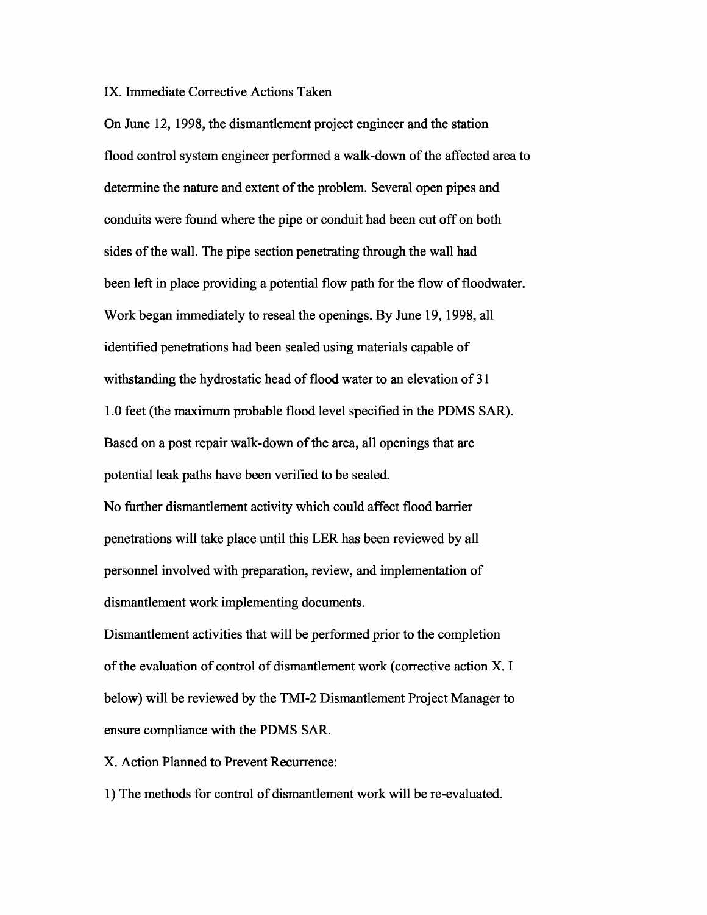## IX. Immediate Corrective Actions Taken

On June 12, 1998, the dismantlement project engineer and the station flood control system engineer performed a walk-down of the affected area to determine the nature and extent of the problem. Several open pipes and conduits were found where the pipe or conduit had been cut off on both sides of the wall. The pipe section penetrating through the wall had been left in place providing a potential flow path for the flow of floodwater. Work began immediately to reseal the openings. By June 19, 1998, all identified penetrations had been sealed using materials capable of withstanding the hydrostatic head of flood water to an elevation of 31 1.0 feet (the maximum probable flood level specified in the PDMS SAR). Based on a post repair walk-down of the area, all openings that are potential leak paths have been verified to be sealed.

No further dismantlement activity which could affect flood barrier penetrations will take place until this LER has been reviewed by all personnel involved with preparation, review, and implementation of dismantlement work implementing documents.

Dismantlement activities that will be performed prior to the completion of the evaluation of control of dismantlement work (corrective action X. I below) will be reviewed by the TMI-2 Dismantlement Project Manager to ensure compliance with the PDMS SAR.

X. Action Planned to Prevent Recurrence:

1) The methods for control of dismantlement work will be re-evaluated.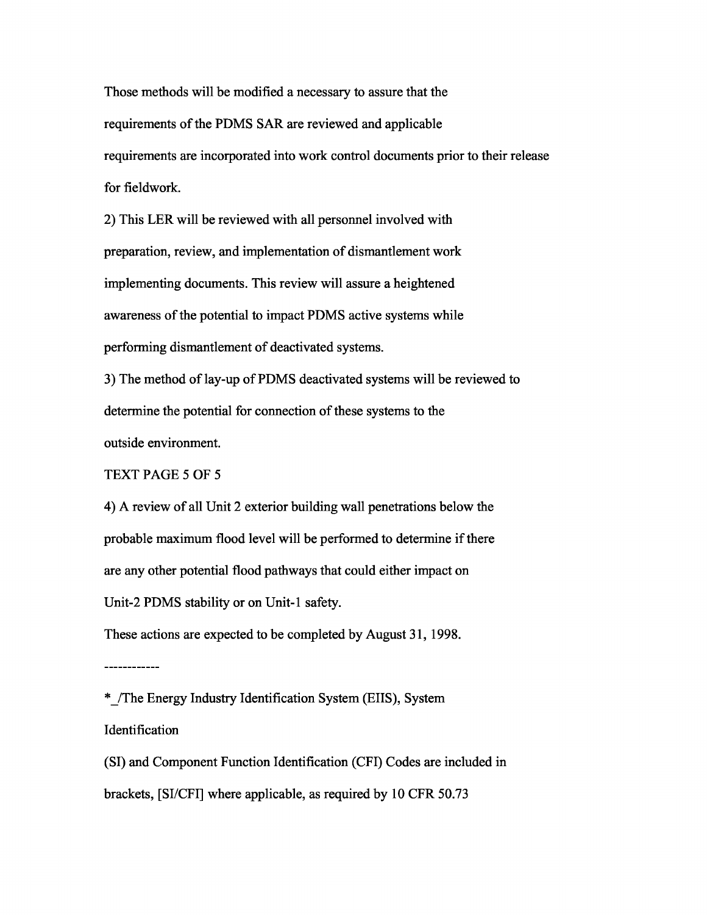Those methods will be modified a necessary to assure that the requirements of the PDMS SAR are reviewed and applicable requirements are incorporated into work control documents prior to their release for fieldwork.

2) This LER will be reviewed with all personnel involved with preparation, review, and implementation of dismantlement work implementing documents. This review will assure a heightened awareness of the potential to impact PDMS active systems while performing dismantlement of deactivated systems.

3) The method of lay-up of PDMS deactivated systems will be reviewed to determine the potential for connection of these systems to the outside environment.

TEXT PAGE 5 OF 5

4) A review of all Unit 2 exterior building wall penetrations below the probable maximum flood level will be performed to determine if there are any other potential flood pathways that could either impact on Unit-2 PDMS stability or on Unit-1 safety.

These actions are expected to be completed by August 31, 1998.

------------

\*\_/The Energy Industry Identification System (EIIS), System Identification

(SI) and Component Function Identification (CFI) Codes are included in brackets, [SI/CFI] where applicable, as required by 10 CFR 50.73